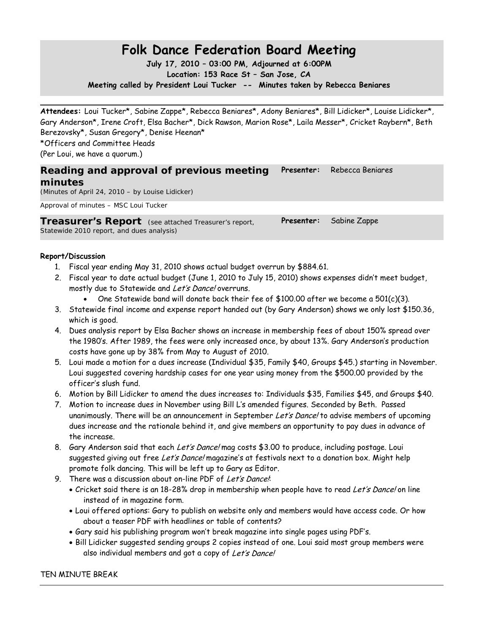# **Folk Dance Federation Board Meeting**

**July 17, 2010 – 03:00 PM, Adjourned at 6:00PM Location: 153 Race St – San Jose, CA Meeting called by President Loui Tucker -- Minutes taken by Rebecca Beniares**

**Attendees:** Loui Tucker\*, Sabine Zappe\*, Rebecca Beniares\*, Adony Beniares\*, Bill Lidicker\*, Louise Lidicker\*, Gary Anderson\*, Irene Croft, Elsa Bacher\*, Dick Rawson, Marion Rose\*, Laila Messer\*, Cricket Raybern\*, Beth Berezovsky\*, Susan Gregory\*, Denise Heenan\* \*Officers and Committee Heads (Per Loui, we have a quorum.)

#### **Reading and approval of previous meeting minutes Presenter:** Rebecca Beniares

(Minutes of April 24, 2010 – by Louise Lidicker)

Approval of minutes – MSC Loui Tucker

**Treasurer's Report** (see attached Treasurer's report, Statewide 2010 report, and dues analysis) **Presenter:** Sabine Zappe

#### **Report/Discussion**

- 1. Fiscal year ending May 31, 2010 shows actual budget overrun by \$884.61.
- 2. Fiscal year to date actual budget (June 1, 2010 to July 15, 2010) shows expenses didn't meet budget, mostly due to Statewide and Let's Dance! overruns.
	- One Statewide band will donate back their fee of \$100.00 after we become a  $501(c)(3)$ .
- 3. Statewide final income and expense report handed out (by Gary Anderson) shows we only lost \$150.36, which is good.
- 4. Dues analysis report by Elsa Bacher shows an increase in membership fees of about 150% spread over the 1980's. After 1989, the fees were only increased once, by about 13%. Gary Anderson's production costs have gone up by 38% from May to August of 2010.
- 5. Loui made a motion for a dues increase (Individual \$35, Family \$40, Groups \$45.) starting in November. Loui suggested covering hardship cases for one year using money from the \$500.00 provided by the officer's slush fund.
- 6. Motion by Bill Lidicker to amend the dues increases to: Individuals \$35, Families \$45, and Groups \$40.
- 7. Motion to increase dues in November using Bill L's amended figures. Seconded by Beth. Passed unanimously. There will be an announcement in September Let's Dance! to advise members of upcoming dues increase and the rationale behind it, and give members an opportunity to pay dues in advance of the increase.
- 8. Gary Anderson said that each Let's Dance! mag costs \$3.00 to produce, including postage. Loui suggested giving out free Let's Dance! magazine's at festivals next to a donation box. Might help promote folk dancing. This will be left up to Gary as Editor.
- 9. There was a discussion about on-line PDF of Let's Dance!
	- Cricket said there is an 18-28% drop in membership when people have to read Let's Dance! on line instead of in magazine form.
	- Loui offered options: Gary to publish on website only and members would have access code. Or how about a teaser PDF with headlines or table of contents?
	- Gary said his publishing program won't break magazine into single pages using PDF's.
	- Bill Lidicker suggested sending groups 2 copies instead of one. Loui said most group members were also individual members and got a copy of Let's Dance!

#### TEN MINUTE BREAK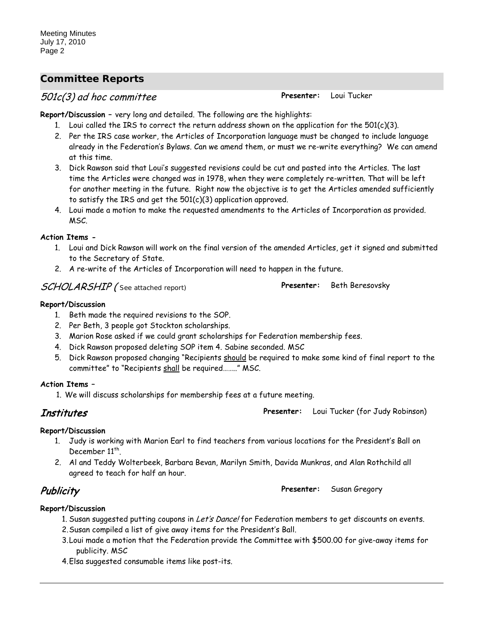# *Committee Reports*

# 501c(3) ad hoc committee **Presenter:** Loui Tucker

**Report/Discussion –** very long and detailed. The following are the highlights:

- 1. Loui called the IRS to correct the return address shown on the application for the  $501(c)(3)$ .
- 2. Per the IRS case worker, the Articles of Incorporation language must be changed to include language already in the Federation's Bylaws. Can we amend them, or must we re-write everything? We can amend at this time.
- 3. Dick Rawson said that Loui's suggested revisions could be cut and pasted into the Articles. The last time the Articles were changed was in 1978, when they were completely re-written. That will be left for another meeting in the future. Right now the objective is to get the Articles amended sufficiently to satisfy the IRS and get the 501(c)(3) application approved.
- 4. Loui made a motion to make the requested amendments to the Articles of Incorporation as provided. MSC.

#### **Action Items -**

- 1. Loui and Dick Rawson will work on the final version of the amended Articles, get it signed and submitted to the Secretary of State.
- 2. A re-write of the Articles of Incorporation will need to happen in the future.

# SCHOLARSHIP ( See attached report) **Presenter:** Beth Beresovsky

#### **Report/Discussion**

- 1. Beth made the required revisions to the SOP.
- 2. Per Beth, 3 people got Stockton scholarships.
- 3. Marion Rose asked if we could grant scholarships for Federation membership fees.
- 4. Dick Rawson proposed deleting SOP item 4. Sabine seconded. MSC
- 5. Dick Rawson proposed changing "Recipients should be required to make some kind of final report to the committee" to "Recipients <u>shall</u> be required…….." MSC.

#### **Action Items –**

1. We will discuss scholarships for membership fees at a future meeting.

Institutes **Presenter:** Loui Tucker (for Judy Robinson)

#### **Report/Discussion**

- 1. Judy is working with Marion Earl to find teachers from various locations for the President's Ball on December 11<sup>th</sup>.
- 2. Al and Teddy Wolterbeek, Barbara Bevan, Marilyn Smith, Davida Munkras, and Alan Rothchild all agreed to teach for half an hour.

# Publicity **Presenter:** Susan Gregory

#### **Report/Discussion**

- 1. Susan suggested putting coupons in Let's Dance! for Federation members to get discounts on events.
- 2.Susan compiled a list of give away items for the President's Ball.
- 3.Loui made a motion that the Federation provide the Committee with \$500.00 for give-away items for publicity. MSC
- 4.Elsa suggested consumable items like post-its.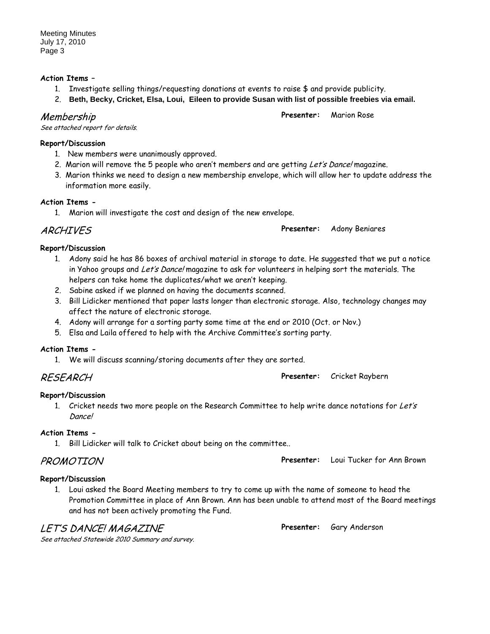#### **Action Items –**

- 1. Investigate selling things/requesting donations at events to raise \$ and provide publicity.
- 2. **Beth, Becky, Cricket, Elsa, Loui, Eileen to provide Susan with list of possible freebies via email.**

## Membership

See attached report for details.

### **Report/Discussion**

- 1. New members were unanimously approved.
- 2. Marion will remove the 5 people who aren't members and are getting Let's Dance! magazine.
- 3. Marion thinks we need to design a new membership envelope, which will allow her to update address the information more easily.

### **Action Items -**

1. Marion will investigate the cost and design of the new envelope.

# ARCHIVES **Presenter:** Adony Beniares

**Report/Discussion**

- 1. Adony said he has 86 boxes of archival material in storage to date. He suggested that we put a notice in Yahoo groups and Let's Dance! magazine to ask for volunteers in helping sort the materials. The helpers can take home the duplicates/what we aren't keeping.
- 2. Sabine asked if we planned on having the documents scanned.
- 3. Bill Lidicker mentioned that paper lasts longer than electronic storage. Also, technology changes may affect the nature of electronic storage.
- 4. Adony will arrange for a sorting party some time at the end or 2010 (Oct. or Nov.)
- 5. Elsa and Laila offered to help with the Archive Committee's sorting party.

### **Action Items -**

1. We will discuss scanning/storing documents after they are sorted.

RESEARCH **Presenter:** Cricket Raybern

# **Report/Discussion**

1. Cricket needs two more people on the Research Committee to help write dance notations for Let's Dance!

# **Action Items -**

1. Bill Lidicker will talk to Cricket about being on the committee..

# PROMOTION **Presenter:** Loui Tucker for Ann Brown

# **Report/Discussion**

1. Loui asked the Board Meeting members to try to come up with the name of someone to head the Promotion Committee in place of Ann Brown. Ann has been unable to attend most of the Board meetings and has not been actively promoting the Fund.

# LET'S DANCE! MAGAZINE

**Presenter:** Gary Anderson

See attached Statewide 2010 Summary and survey.

**Presenter:** Marion Rose